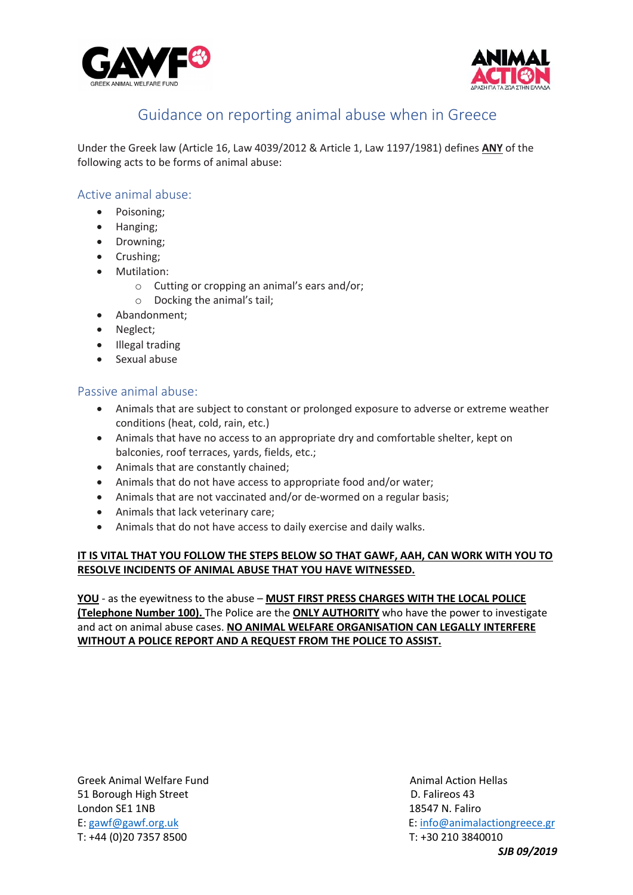



# Guidance on reporting animal abuse when in Greece

Under the Greek law (Article 16, Law 4039/2012 & Article 1, Law 1197/1981) defines **ANY** of the following acts to be forms of animal abuse:

## Active animal abuse:

- Poisoning;
- Hanging;
- Drowning;
- Crushing;
- Mutilation:
	- o Cutting or cropping an animal's ears and/or;
	- o Docking the animal's tail;
- Abandonment;
- Neglect;
- Illegal trading
- Sexual abuse

### Passive animal abuse:

- Animals that are subject to constant or prolonged exposure to adverse or extreme weather conditions (heat, cold, rain, etc.)
- Animals that have no access to an appropriate dry and comfortable shelter, kept on balconies, roof terraces, yards, fields, etc.;
- Animals that are constantly chained;
- Animals that do not have access to appropriate food and/or water;
- Animals that are not vaccinated and/or de-wormed on a regular basis;
- Animals that lack veterinary care;
- Animals that do not have access to daily exercise and daily walks.

### **IT IS VITAL THAT YOU FOLLOW THE STEPS BELOW SO THAT GAWF, AAH, CAN WORK WITH YOU TO RESOLVE INCIDENTS OF ANIMAL ABUSE THAT YOU HAVE WITNESSED.**

**YOU** - as the eyewitness to the abuse – **MUST FIRST PRESS CHARGES WITH THE LOCAL POLICE (Telephone Number 100).** The Police are the **ONLY AUTHORITY** who have the power to investigate and act on animal abuse cases. **NO ANIMAL WELFARE ORGANISATION CAN LEGALLY INTERFERE WITHOUT A POLICE REPORT AND A REQUEST FROM THE POLICE TO ASSIST.**